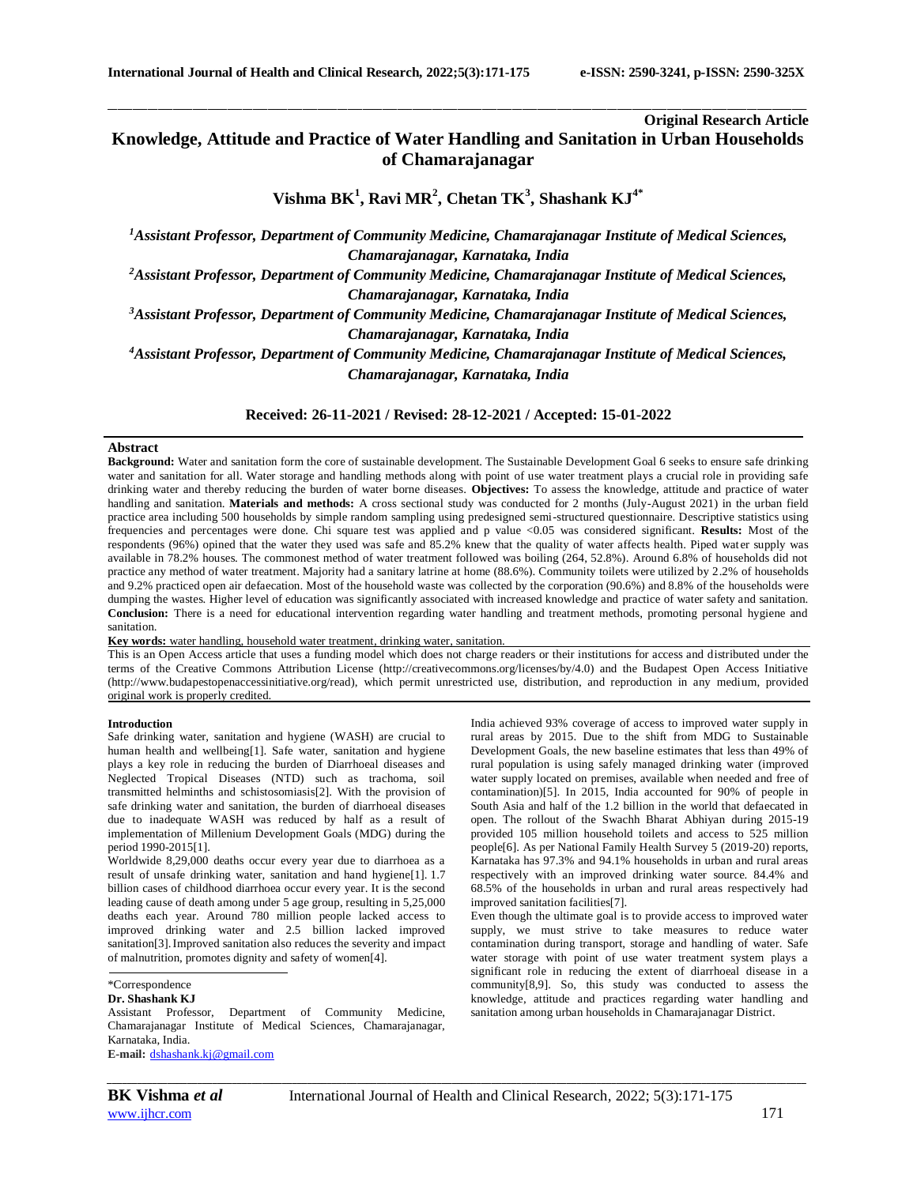# **Original Research Article**

# **Knowledge, Attitude and Practice of Water Handling and Sanitation in Urban Households of Chamarajanagar**

\_\_\_\_\_\_\_\_\_\_\_\_\_\_\_\_\_\_\_\_\_\_\_\_\_\_\_\_\_\_\_\_\_\_\_\_\_\_\_\_\_\_\_\_\_\_\_\_\_\_\_\_\_\_\_\_\_\_\_\_\_\_\_\_\_\_\_\_\_\_\_\_\_\_\_\_\_\_\_\_\_\_\_\_\_\_\_\_\_\_\_\_\_\_\_\_\_\_\_\_\_\_\_\_\_\_\_\_\_\_\_\_\_\_\_\_\_\_\_\_\_\_\_\_\_\_\_\_\_\_\_\_\_\_\_\_\_\_\_\_

**Vishma BK<sup>1</sup> , Ravi MR<sup>2</sup> , Chetan TK<sup>3</sup> , Shashank KJ4\***

*<sup>1</sup>Assistant Professor, Department of Community Medicine, Chamarajanagar Institute of Medical Sciences, Chamarajanagar, Karnataka, India*

*<sup>2</sup>Assistant Professor, Department of Community Medicine, Chamarajanagar Institute of Medical Sciences, Chamarajanagar, Karnataka, India*

*<sup>3</sup>Assistant Professor, Department of Community Medicine, Chamarajanagar Institute of Medical Sciences, Chamarajanagar, Karnataka, India*

*<sup>4</sup>Assistant Professor, Department of Community Medicine, Chamarajanagar Institute of Medical Sciences, Chamarajanagar, Karnataka, India*

**Received: 26-11-2021 / Revised: 28-12-2021 / Accepted: 15-01-2022**

## **Abstract**

**Background:** Water and sanitation form the core of sustainable development. The Sustainable Development Goal 6 seeks to ensure safe drinking water and sanitation for all. Water storage and handling methods along with point of use water treatment plays a crucial role in providing safe drinking water and thereby reducing the burden of water borne diseases. **Objectives:** To assess the knowledge, attitude and practice of water handling and sanitation. **Materials and methods:** A cross sectional study was conducted for 2 months (July-August 2021) in the urban field practice area including 500 households by simple random sampling using predesigned semi-structured questionnaire. Descriptive statistics using frequencies and percentages were done. Chi square test was applied and p value <0.05 was considered significant. **Results:** Most of the respondents (96%) opined that the water they used was safe and 85.2% knew that the quality of water affects health. Piped water supply was available in 78.2% houses. The commonest method of water treatment followed was boiling (264, 52.8%). Around 6.8% of households did not practice any method of water treatment. Majority had a sanitary latrine at home (88.6%). Community toilets were utilized by 2.2% of households and 9.2% practiced open air defaecation. Most of the household waste was collected by the corporation (90.6%) and 8.8% of the households were dumping the wastes. Higher level of education was significantly associated with increased knowledge and practice of water safety and sanitation. **Conclusion:** There is a need for educational intervention regarding water handling and treatment methods, promoting personal hygiene and sanitation.

**Key words:** water handling, household water treatment, drinking water, sanitation.

This is an Open Access article that uses a funding model which does not charge readers or their institutions for access and distributed under the terms of the Creative Commons Attribution License (http://creativecommons.org/licenses/by/4.0) and the Budapest Open Access Initiative (http://www.budapestopenaccessinitiative.org/read), which permit unrestricted use, distribution, and reproduction in any medium, provided original work is properly credited.

### **Introduction**

Safe drinking water, sanitation and hygiene (WASH) are crucial to human health and wellbeing[1]. Safe water, sanitation and hygiene plays a key role in reducing the burden of Diarrhoeal diseases and Neglected Tropical Diseases (NTD) such as trachoma, soil transmitted helminths and schistosomiasis[2]. With the provision of safe drinking water and sanitation, the burden of diarrhoeal diseases due to inadequate WASH was reduced by half as a result of implementation of Millenium Development Goals (MDG) during the period 1990-2015[1].

Worldwide 8,29,000 deaths occur every year due to diarrhoea as a result of unsafe drinking water, sanitation and hand hygiene[1]. 1.7 billion cases of childhood diarrhoea occur every year. It is the second leading cause of death among under 5 age group, resulting in 5,25,000 deaths each year. Around 780 million people lacked access to improved drinking water and 2.5 billion lacked improved sanitation[3].Improved sanitation also reduces the severity and impact of malnutrition, promotes dignity and safety of women[4].

\*Correspondence

**E-mail:** [dshashank.kj@gmail.com](mailto:drarunimambbs@yahoo.in)

India achieved 93% coverage of access to improved water supply in rural areas by 2015. Due to the shift from MDG to Sustainable Development Goals, the new baseline estimates that less than 49% of rural population is using safely managed drinking water (improved water supply located on premises, available when needed and free of contamination)[5]. In 2015, India accounted for 90% of people in South Asia and half of the 1.2 billion in the world that defaecated in open. The rollout of the Swachh Bharat Abhiyan during 2015-19 provided 105 million household toilets and access to 525 million people[6]. As per National Family Health Survey 5 (2019-20) reports, Karnataka has 97.3% and 94.1% households in urban and rural areas respectively with an improved drinking water source. 84.4% and 68.5% of the households in urban and rural areas respectively had improved sanitation facilities[7].

Even though the ultimate goal is to provide access to improved water supply, we must strive to take measures to reduce water contamination during transport, storage and handling of water. Safe water storage with point of use water treatment system plays a significant role in reducing the extent of diarrhoeal disease in a community[8,9]. So, this study was conducted to assess the knowledge, attitude and practices regarding water handling and sanitation among urban households in Chamarajanagar District.

**Dr. Shashank KJ**

Assistant Professor, Department of Community Medicine, Chamarajanagar Institute of Medical Sciences, Chamarajanagar, Karnataka, India.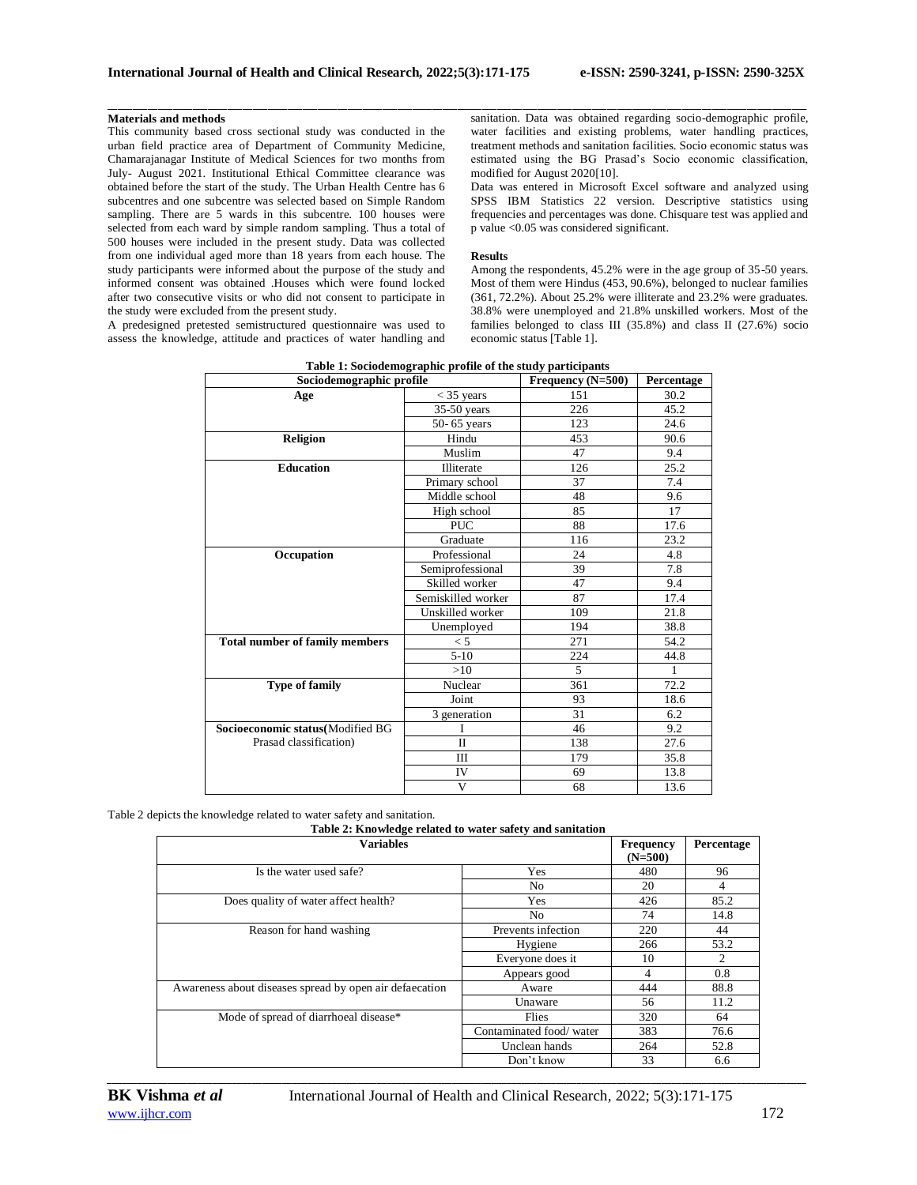# **Materials and methods**

This community based cross sectional study was conducted in the urban field practice area of Department of Community Medicine, Chamarajanagar Institute of Medical Sciences for two months from July- August 2021. Institutional Ethical Committee clearance was obtained before the start of the study. The Urban Health Centre has 6 subcentres and one subcentre was selected based on Simple Random sampling. There are 5 wards in this subcentre. 100 houses were selected from each ward by simple random sampling. Thus a total of 500 houses were included in the present study. Data was collected from one individual aged more than 18 years from each house. The study participants were informed about the purpose of the study and informed consent was obtained .Houses which were found locked after two consecutive visits or who did not consent to participate in the study were excluded from the present study.

A predesigned pretested semistructured questionnaire was used to assess the knowledge, attitude and practices of water handling and sanitation. Data was obtained regarding socio-demographic profile, water facilities and existing problems, water handling practices, treatment methods and sanitation facilities. Socio economic status was estimated using the BG Prasad's Socio economic classification, modified for August 2020[10].

Data was entered in Microsoft Excel software and analyzed using SPSS IBM Statistics 22 version. Descriptive statistics using frequencies and percentages was done. Chisquare test was applied and p value <0.05 was considered significant.

## **Results**

Among the respondents, 45.2% were in the age group of 35-50 years. Most of them were Hindus (453, 90.6%), belonged to nuclear families (361, 72.2%). About 25.2% were illiterate and  $23.2%$  were graduates. 38.8% were unemployed and 21.8% unskilled workers. Most of the families belonged to class III (35.8%) and class II (27.6%) socio economic status [Table 1].

| Sociouemograpme prome                 |                    | <b>requency</b> ( <b>N=500</b> ) | rercentage   |
|---------------------------------------|--------------------|----------------------------------|--------------|
| Age                                   | $<$ 35 years       | 151                              | 30.2         |
|                                       | $35-50$ years      | 226                              | 45.2         |
|                                       | 50-65 years        | 123                              | 24.6         |
| <b>Religion</b>                       | Hindu              | 453                              | 90.6         |
|                                       | Muslim             | 47                               | 9.4          |
| <b>Education</b>                      | Illiterate         | 126                              | 25.2         |
|                                       | Primary school     | 37                               | 7.4          |
|                                       | Middle school      | 48                               | 9.6          |
|                                       | High school        | 85                               | 17           |
|                                       | <b>PUC</b>         | 88                               | 17.6         |
|                                       | Graduate           | 116                              | 23.2         |
| Occupation                            | Professional       | 24                               | 4.8          |
|                                       | Semiprofessional   | 39                               | 7.8          |
|                                       | Skilled worker     | 47                               | 9.4          |
|                                       | Semiskilled worker | 87                               | 17.4         |
|                                       | Unskilled worker   | 109                              | 21.8         |
|                                       | Unemployed         | 194                              | 38.8         |
| <b>Total number of family members</b> | $\leq 5$           | 271                              | 54.2         |
|                                       | $5-10$             | 224                              | 44.8         |
|                                       | >10                | $\mathfrak{F}$                   | $\mathbf{1}$ |
| <b>Type of family</b>                 | Nuclear            | 361                              | 72.2         |
|                                       | Joint              | 93                               | 18.6         |
|                                       | 3 generation       | 31                               | 6.2          |
| Socioeconomic status(Modified BG      | $\mathbf{I}$       | 46                               | 9.2          |
| Prasad classification)                | $\mathbf{I}$       | 138                              | 27.6         |
|                                       | Ш                  | 179                              | 35.8         |
|                                       | IV                 | 69                               | 13.8         |
|                                       | V                  | 68                               | 13.6         |

| Table 1: Sociodemographic profile of the study participants |                              |  |
|-------------------------------------------------------------|------------------------------|--|
| Sociodemographic profile                                    | Frequency (N-500) Percentage |  |

Table 2 depicts the knowledge related to water safety and sanitation.

| <b>Variables</b>                                        |                         |     | Percentage |
|---------------------------------------------------------|-------------------------|-----|------------|
| Is the water used safe?                                 | Yes                     | 480 | 96         |
|                                                         | No                      | 20  | 4          |
| Does quality of water affect health?                    | Yes                     | 426 | 85.2       |
|                                                         | No                      | 74  | 14.8       |
| Reason for hand washing                                 | Prevents infection      | 220 | 44         |
|                                                         | Hygiene                 | 266 | 53.2       |
|                                                         | Everyone does it        | 10  | 2          |
|                                                         | Appears good            | 4   | 0.8        |
| Awareness about diseases spread by open air defaecation | Aware                   | 444 | 88.8       |
|                                                         | Unaware                 | 56  | 11.2       |
| Mode of spread of diarrhoeal disease*                   | Flies                   | 320 | 64         |
|                                                         | Contaminated food/water | 383 | 76.6       |
|                                                         | Unclean hands           | 264 | 52.8       |
|                                                         | Don't know              | 33  | 6.6        |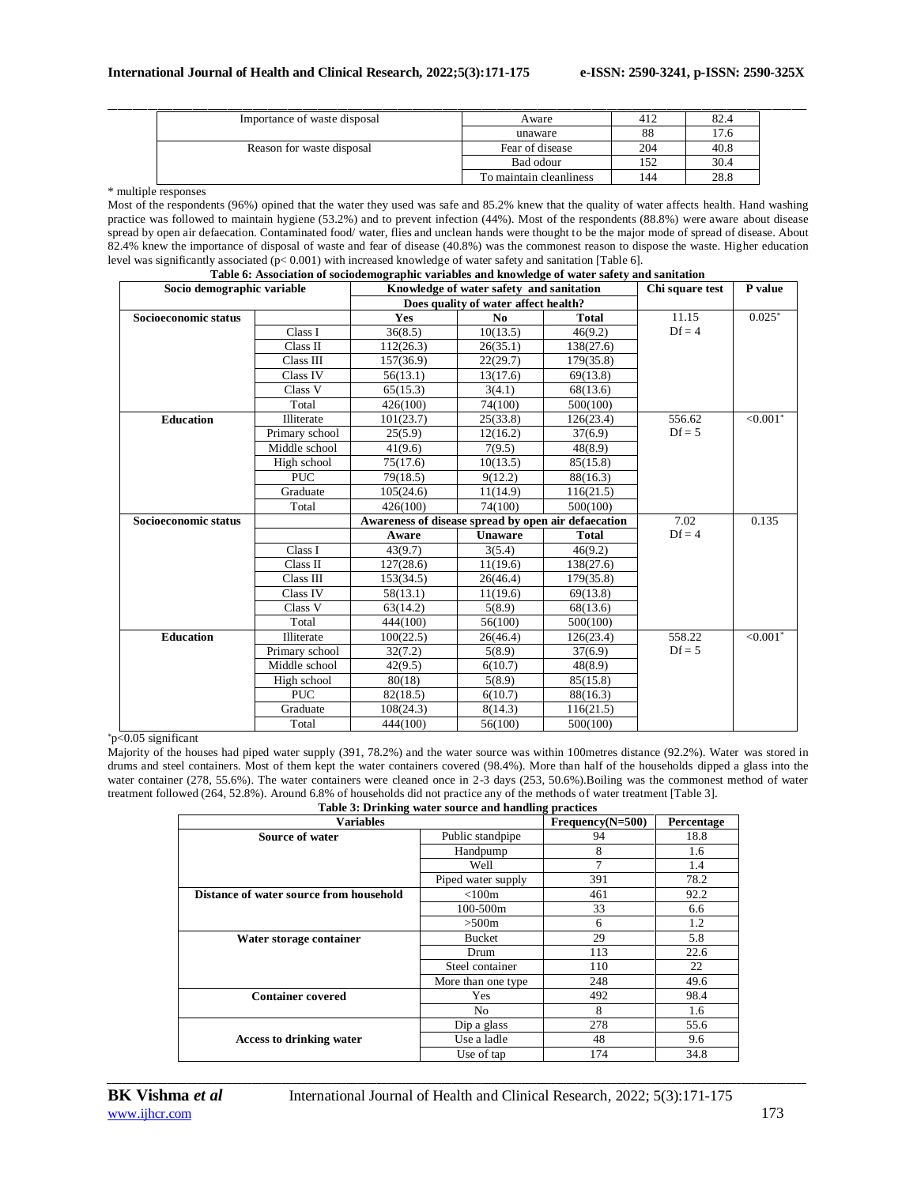| Importance of waste disposal | Aware                   | 412 | 82.4 |
|------------------------------|-------------------------|-----|------|
|                              | unaware                 | 88  | 17.6 |
| Reason for waste disposal    | Fear of disease         | 204 | 40.8 |
|                              | Bad odour               | 152 | 30.4 |
|                              | To maintain cleanliness | 144 | 28.8 |

\* multiple responses

Most of the respondents (96%) opined that the water they used was safe and 85.2% knew that the quality of water affects health. Hand washing practice was followed to maintain hygiene (53.2%) and to prevent infection (44%). Most of the respondents (88.8%) were aware about disease spread by open air defaecation. Contaminated food/ water, flies and unclean hands were thought to be the major mode of spread of disease. About 82.4% knew the importance of disposal of waste and fear of disease (40.8%) was the commonest reason to dispose the waste. Higher education level was significantly associated (p< 0.001) with increased knowledge of water safety and sanitation [Table 6]. **Table 6: Association of sociodemographic variables and knowledge of water safety and sanitation**

| Socio demographic variable |                |                                                     | Table 0: Association of sociouemographic variables and knowledge of water safety and samtation<br>Knowledge of water safety and sanitation |              | Chi square test | P value     |
|----------------------------|----------------|-----------------------------------------------------|--------------------------------------------------------------------------------------------------------------------------------------------|--------------|-----------------|-------------|
|                            |                |                                                     | Does quality of water affect health?                                                                                                       |              |                 |             |
| Socioeconomic status       |                | Yes                                                 | N <sub>0</sub>                                                                                                                             | <b>Total</b> | 11.15           | $0.025*$    |
|                            | Class I        | 36(8.5)                                             | 10(13.5)                                                                                                                                   | 46(9.2)      | $Df = 4$        |             |
|                            | Class II       | 112(26.3)                                           | 26(35.1)                                                                                                                                   | 138(27.6)    |                 |             |
|                            | Class III      | 157(36.9)                                           | 22(29.7)                                                                                                                                   | 179(35.8)    |                 |             |
|                            | Class IV       | 56(13.1)                                            | 13(17.6)                                                                                                                                   | 69(13.8)     |                 |             |
|                            | Class V        | 65(15.3)                                            | 3(4.1)                                                                                                                                     | 68(13.6)     |                 |             |
|                            | Total          | 426(100)                                            | 74(100)                                                                                                                                    | 500(100)     |                 |             |
| <b>Education</b>           | Illiterate     | 101(23.7)                                           | 25(33.8)                                                                                                                                   | 126(23.4)    | 556.62          | $< 0.001$ * |
|                            | Primary school | 25(5.9)                                             | 12(16.2)                                                                                                                                   | 37(6.9)      | $Df = 5$        |             |
|                            | Middle school  | 41(9.6)                                             | 7(9.5)                                                                                                                                     | 48(8.9)      |                 |             |
|                            | High school    | 75(17.6)                                            | 10(13.5)                                                                                                                                   | 85(15.8)     |                 |             |
|                            | <b>PUC</b>     | 79(18.5)                                            | 9(12.2)                                                                                                                                    | 88(16.3)     |                 |             |
|                            | Graduate       | 105(24.6)                                           | 11(14.9)                                                                                                                                   | 116(21.5)    |                 |             |
|                            | Total          | 426(100)                                            | 74(100)                                                                                                                                    | 500(100)     |                 |             |
| Socioeconomic status       |                | Awareness of disease spread by open air defaecation |                                                                                                                                            |              | 7.02            | 0.135       |
|                            |                | Aware                                               | <b>Unaware</b>                                                                                                                             | <b>Total</b> | $Df = 4$        |             |
|                            | Class I        | 43(9.7)                                             | 3(5.4)                                                                                                                                     | 46(9.2)      |                 |             |
|                            | Class II       | 127(28.6)                                           | 11(19.6)                                                                                                                                   | 138(27.6)    |                 |             |
|                            | Class III      | 153(34.5)                                           | 26(46.4)                                                                                                                                   | 179(35.8)    |                 |             |
|                            | Class IV       | 58(13.1)                                            | 11(19.6)                                                                                                                                   | 69(13.8)     |                 |             |
|                            | Class V        | 63(14.2)                                            | 5(8.9)                                                                                                                                     | 68(13.6)     |                 |             |
|                            | Total          | 444(100)                                            | 56(100)                                                                                                                                    | 500(100)     |                 |             |
| <b>Education</b>           | Illiterate     | 100(22.5)                                           | 26(46.4)                                                                                                                                   | 126(23.4)    | 558.22          | $< 0.001$ * |
|                            | Primary school | 32(7.2)                                             | 5(8.9)                                                                                                                                     | 37(6.9)      | $Df = 5$        |             |
|                            | Middle school  | 42(9.5)                                             | 6(10.7)                                                                                                                                    | 48(8.9)      |                 |             |
|                            | High school    | 80(18)                                              | 5(8.9)                                                                                                                                     | 85(15.8)     |                 |             |
|                            | <b>PUC</b>     | 82(18.5)                                            | 6(10.7)                                                                                                                                    | 88(16.3)     |                 |             |
|                            | Graduate       | 108(24.3)                                           | 8(14.3)                                                                                                                                    | 116(21.5)    |                 |             |
|                            | Total          | 444(100)                                            | 56(100)                                                                                                                                    | 500(100)     |                 |             |

# \*p<0.05 significant

Majority of the houses had piped water supply (391, 78.2%) and the water source was within 100metres distance (92.2%). Water was stored in drums and steel containers. Most of them kept the water containers covered (98.4%). More than half of the households dipped a glass into the water container (278, 55.6%). The water containers were cleaned once in 2-3 days (253, 50.6%).Boiling was the commonest method of water treatment followed

| 1(264, 52.8%). Around 6.8% of households did not practice any of the methods of water treatment [Table 3]. |                                                       |     |      |  |  |
|------------------------------------------------------------------------------------------------------------|-------------------------------------------------------|-----|------|--|--|
|                                                                                                            | Table 3: Drinking water source and handling practices |     |      |  |  |
| <b>Variables</b><br>$Frequency(N=500)$<br>Percentage                                                       |                                                       |     |      |  |  |
| Source of water                                                                                            | Public standpipe                                      | 94  | 18.8 |  |  |
|                                                                                                            | Handpump                                              | 8   | 1.6  |  |  |
|                                                                                                            | Well                                                  | 7   | 1.4  |  |  |
|                                                                                                            | Piped water supply                                    | 391 | 78.2 |  |  |
| Distance of water source from household                                                                    | $<$ 100 $m$                                           | 461 | 92.2 |  |  |
|                                                                                                            | $100 - 500m$                                          | 33  | 6.6  |  |  |
|                                                                                                            | >500m                                                 | 6   | 1.2  |  |  |
| Water storage container                                                                                    | <b>Bucket</b>                                         | 29  | 5.8  |  |  |
|                                                                                                            | Drum                                                  | 113 | 22.6 |  |  |
|                                                                                                            | Steel container                                       | 110 | 22   |  |  |
|                                                                                                            | More than one type.                                   | 248 | 49.6 |  |  |
| <b>Container covered</b>                                                                                   | Yes                                                   | 492 | 98.4 |  |  |
|                                                                                                            | No                                                    | 8   | 1.6  |  |  |

*\_\_\_\_\_\_\_\_\_\_\_\_\_\_\_\_\_\_\_\_\_\_\_\_\_\_\_\_\_\_\_\_\_\_\_\_\_\_\_\_\_\_\_\_\_\_\_\_\_\_\_\_\_\_\_\_\_\_\_\_\_\_\_\_\_\_\_\_\_\_\_\_\_\_\_\_\_\_\_\_\_\_\_\_\_\_\_\_\_\_\_\_\_\_\_\_\_\_\_\_\_\_\_\_\_\_\_\_\_\_\_\_\_\_\_\_\_\_\_\_\_\_\_\_\_\_\_\_\_\_\_\_\_\_\_\_\_\_\_\_*

**Access to drinking water**

Dip a glass 278 55.6 Use a ladle  $48$  9.6 Use of tap 174 34.8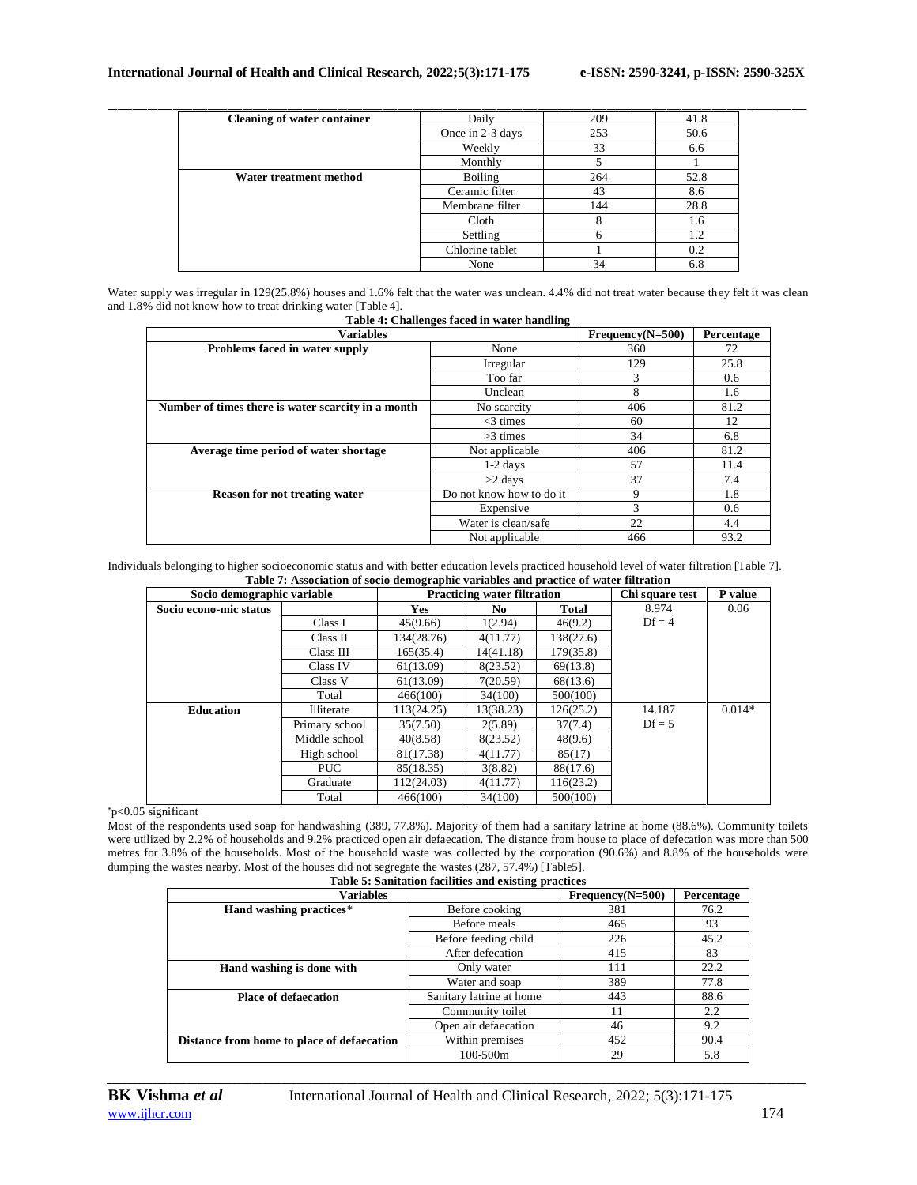| <b>Cleaning of water container</b> | Daily            | 209 | 41.8 |
|------------------------------------|------------------|-----|------|
|                                    | Once in 2-3 days | 253 | 50.6 |
|                                    | Weekly           | 33  | 6.6  |
|                                    | Monthly          |     |      |
| Water treatment method             | Boiling          | 264 | 52.8 |
|                                    | Ceramic filter   | 43  | 8.6  |
|                                    | Membrane filter  | 144 | 28.8 |
|                                    | Cloth            | ົ   | 1.6  |
|                                    | Settling         | h   | 1.2  |
|                                    | Chlorine tablet  |     | 0.2  |
|                                    | None             | 34  | 6.8  |

Water supply was irregular in 129(25.8%) houses and 1.6% felt that the water was unclean. 4.4% did not treat water because they felt it was clean and 1.8% did not know how to treat drinking water [Table 4]. **Table 4: Challenges faced in water handling**

|                                                    | Table 4. Chanchges faced in water handling |                    |            |
|----------------------------------------------------|--------------------------------------------|--------------------|------------|
| <b>Variables</b>                                   |                                            | $Frequency(N=500)$ | Percentage |
| Problems faced in water supply                     | None                                       | 360                | 72         |
|                                                    | Irregular                                  | 129                | 25.8       |
|                                                    | Too far                                    | 3                  | 0.6        |
|                                                    | Unclean                                    | 8                  | 1.6        |
| Number of times there is water scarcity in a month | No scarcity                                | 406                | 81.2       |
|                                                    | $<$ 3 times                                | 60                 | 12         |
|                                                    | $>3$ times                                 | 34                 | 6.8        |
| Average time period of water shortage              | Not applicable                             | 406                | 81.2       |
|                                                    | $1-2$ days                                 | 57                 | 11.4       |
|                                                    | $>2$ days                                  | 37                 | 7.4        |
| <b>Reason for not treating water</b>               | Do not know how to do it                   | 9                  | 1.8        |
|                                                    | Expensive                                  | 3                  | 0.6        |
|                                                    | Water is clean/safe                        | 22                 | 4.4        |
|                                                    | Not applicable                             | 466                | 93.2       |

Individuals belonging to higher socioeconomic status and with better education levels practiced household level of water filtration [Table 7]. **Table 7: Association of socio demographic variables and practice of water filtration**

| Socio demographic variable |                |            | <b>Practicing water filtration</b> |           | Chi square test | P value  |
|----------------------------|----------------|------------|------------------------------------|-----------|-----------------|----------|
| Socio econo-mic status     |                | <b>Yes</b> | No.                                | Total     | 8.974           | 0.06     |
|                            | Class I        | 45(9.66)   | 1(2.94)                            | 46(9.2)   | $Df = 4$        |          |
|                            | Class II       | 134(28.76) | 4(11.77)                           | 138(27.6) |                 |          |
|                            | Class III      | 165(35.4)  | 14(41.18)                          | 179(35.8) |                 |          |
|                            | Class IV       | 61(13.09)  | 8(23.52)                           | 69(13.8)  |                 |          |
|                            | Class V        | 61(13.09)  | 7(20.59)                           | 68(13.6)  |                 |          |
|                            | Total          | 466(100)   | 34(100)                            | 500(100)  |                 |          |
| <b>Education</b>           | Illiterate     | 113(24.25) | 13(38.23)                          | 126(25.2) | 14.187          | $0.014*$ |
|                            | Primary school | 35(7.50)   | 2(5.89)                            | 37(7.4)   | $Df = 5$        |          |
|                            | Middle school  | 40(8.58)   | 8(23.52)                           | 48(9.6)   |                 |          |
|                            | High school    | 81(17.38)  | 4(11.77)                           | 85(17)    |                 |          |
|                            | PUC.           | 85(18.35)  | 3(8.82)                            | 88(17.6)  |                 |          |
|                            | Graduate       | 112(24.03) | 4(11.77)                           | 116(23.2) |                 |          |
|                            | Total          | 466(100)   | 34(100)                            | 500(100)  |                 |          |

\*p<0.05 significant

Most of the respondents used soap for handwashing (389, 77.8%). Majority of them had a sanitary latrine at home (88.6%). Community toilets were utilized by 2.2% of households and 9.2% practiced open air defaecation. The distance from house to place of defecation was more than 500 metres for 3.8% of the households. Most of the household waste was collected by the corporation (90.6%) and 8.8% of the households were dumping the wastes nearby. Most of the houses did not segregate the wastes (287, 57.4%) [Table5].

|                                            | Table 5: Sanitation facilities and existing practices |                    |            |
|--------------------------------------------|-------------------------------------------------------|--------------------|------------|
| <b>Variables</b>                           |                                                       | $Frequency(N=500)$ | Percentage |
| Hand washing practices*                    | Before cooking                                        | 381                | 76.2       |
|                                            | Before meals                                          | 465                | 93         |
|                                            | Before feeding child                                  | 226                | 45.2       |
|                                            | After defecation                                      | 415                | 83         |
| Hand washing is done with                  | Only water                                            | 111                | 22.2       |
|                                            | Water and soap                                        | 389                | 77.8       |
| <b>Place of defaecation</b>                | Sanitary latrine at home                              | 443                | 88.6       |
|                                            | Community toilet                                      | 11                 | 2.2        |
|                                            | Open air defaecation                                  | 46                 | 9.2        |
| Distance from home to place of defaecation | Within premises                                       | 452                | 90.4       |
|                                            | 100-500m                                              | 29                 | 5.8        |